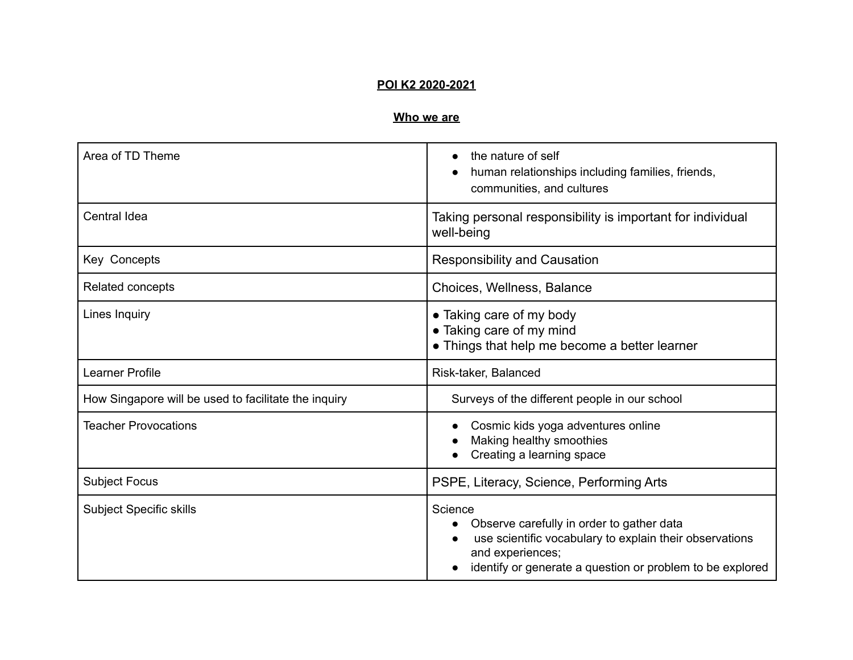### **POI K2 2020-2021**

# **Who we are**

| Area of TD Theme                                     | the nature of self<br>$\bullet$<br>human relationships including families, friends,<br>communities, and cultures                                                                                 |
|------------------------------------------------------|--------------------------------------------------------------------------------------------------------------------------------------------------------------------------------------------------|
| Central Idea                                         | Taking personal responsibility is important for individual<br>well-being                                                                                                                         |
| <b>Key Concepts</b>                                  | <b>Responsibility and Causation</b>                                                                                                                                                              |
| Related concepts                                     | Choices, Wellness, Balance                                                                                                                                                                       |
| Lines Inquiry                                        | • Taking care of my body<br>• Taking care of my mind<br>• Things that help me become a better learner                                                                                            |
| <b>Learner Profile</b>                               | Risk-taker, Balanced                                                                                                                                                                             |
| How Singapore will be used to facilitate the inquiry | Surveys of the different people in our school                                                                                                                                                    |
| <b>Teacher Provocations</b>                          | Cosmic kids yoga adventures online<br>Making healthy smoothies<br>Creating a learning space                                                                                                      |
| <b>Subject Focus</b>                                 | PSPE, Literacy, Science, Performing Arts                                                                                                                                                         |
| <b>Subject Specific skills</b>                       | Science<br>Observe carefully in order to gather data<br>use scientific vocabulary to explain their observations<br>and experiences;<br>identify or generate a question or problem to be explored |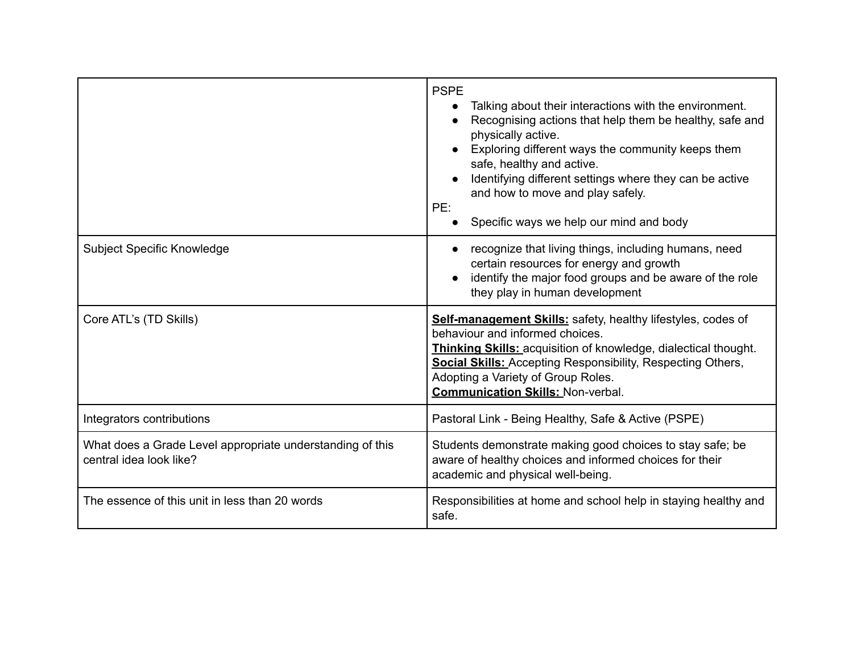|                                                                                      | <b>PSPE</b><br>Talking about their interactions with the environment.<br>Recognising actions that help them be healthy, safe and<br>physically active.<br>Exploring different ways the community keeps them<br>safe, healthy and active.<br>Identifying different settings where they can be active<br>and how to move and play safely.<br>PE:<br>Specific ways we help our mind and body |
|--------------------------------------------------------------------------------------|-------------------------------------------------------------------------------------------------------------------------------------------------------------------------------------------------------------------------------------------------------------------------------------------------------------------------------------------------------------------------------------------|
| Subject Specific Knowledge                                                           | recognize that living things, including humans, need<br>certain resources for energy and growth<br>identify the major food groups and be aware of the role<br>they play in human development                                                                                                                                                                                              |
| Core ATL's (TD Skills)                                                               | Self-management Skills: safety, healthy lifestyles, codes of<br>behaviour and informed choices.<br>Thinking Skills: acquisition of knowledge, dialectical thought.<br><b>Social Skills:</b> Accepting Responsibility, Respecting Others,<br>Adopting a Variety of Group Roles.<br><b>Communication Skills: Non-verbal.</b>                                                                |
| Integrators contributions                                                            | Pastoral Link - Being Healthy, Safe & Active (PSPE)                                                                                                                                                                                                                                                                                                                                       |
| What does a Grade Level appropriate understanding of this<br>central idea look like? | Students demonstrate making good choices to stay safe; be<br>aware of healthy choices and informed choices for their<br>academic and physical well-being.                                                                                                                                                                                                                                 |
| The essence of this unit in less than 20 words                                       | Responsibilities at home and school help in staying healthy and<br>safe.                                                                                                                                                                                                                                                                                                                  |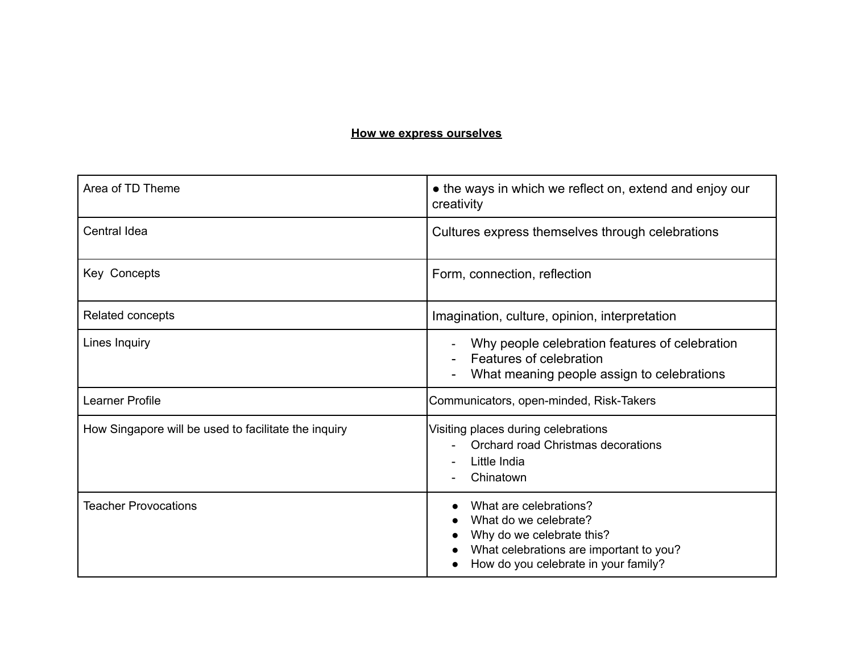### **How we express ourselves**

| Area of TD Theme                                     | • the ways in which we reflect on, extend and enjoy our<br>creativity                                                                                           |
|------------------------------------------------------|-----------------------------------------------------------------------------------------------------------------------------------------------------------------|
| <b>Central Idea</b>                                  | Cultures express themselves through celebrations                                                                                                                |
| Key Concepts                                         | Form, connection, reflection                                                                                                                                    |
| Related concepts                                     | Imagination, culture, opinion, interpretation                                                                                                                   |
| Lines Inquiry                                        | Why people celebration features of celebration<br>Features of celebration<br>What meaning people assign to celebrations                                         |
| Learner Profile                                      | Communicators, open-minded, Risk-Takers                                                                                                                         |
| How Singapore will be used to facilitate the inquiry | Visiting places during celebrations<br>Orchard road Christmas decorations<br>Little India<br>Chinatown                                                          |
| <b>Teacher Provocations</b>                          | What are celebrations?<br>What do we celebrate?<br>Why do we celebrate this?<br>What celebrations are important to you?<br>How do you celebrate in your family? |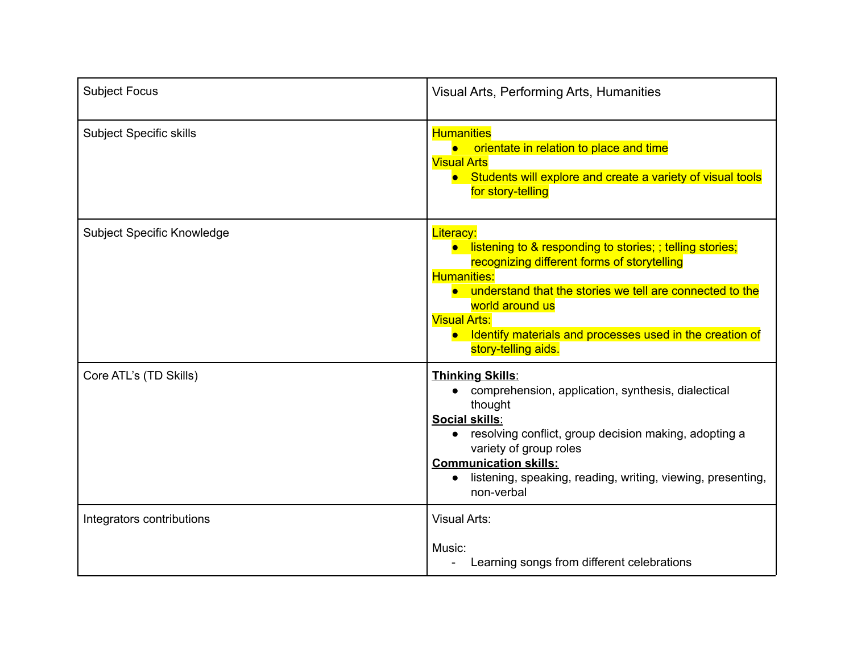| <b>Subject Focus</b>              | Visual Arts, Performing Arts, Humanities                                                                                                                                                                                                                                                                                                                  |
|-----------------------------------|-----------------------------------------------------------------------------------------------------------------------------------------------------------------------------------------------------------------------------------------------------------------------------------------------------------------------------------------------------------|
| <b>Subject Specific skills</b>    | <b>Humanities</b><br>orientate in relation to place and time<br><b>Visual Arts</b><br>Students will explore and create a variety of visual tools<br>for story-telling                                                                                                                                                                                     |
| <b>Subject Specific Knowledge</b> | <b>Literacy:</b><br>listening to & responding to stories; ; telling stories;<br>$\bullet$<br>recognizing different forms of storytelling<br><b>Humanities:</b><br>• understand that the stories we tell are connected to the<br>world around us<br><b>Visual Arts:</b><br>Identify materials and processes used in the creation of<br>story-telling aids. |
| Core ATL's (TD Skills)            | <b>Thinking Skills:</b><br>comprehension, application, synthesis, dialectical<br>thought<br><b>Social skills:</b><br>resolving conflict, group decision making, adopting a<br>$\bullet$<br>variety of group roles<br><b>Communication skills:</b><br>listening, speaking, reading, writing, viewing, presenting,<br>non-verbal                            |
| Integrators contributions         | <b>Visual Arts:</b><br>Music:<br>Learning songs from different celebrations                                                                                                                                                                                                                                                                               |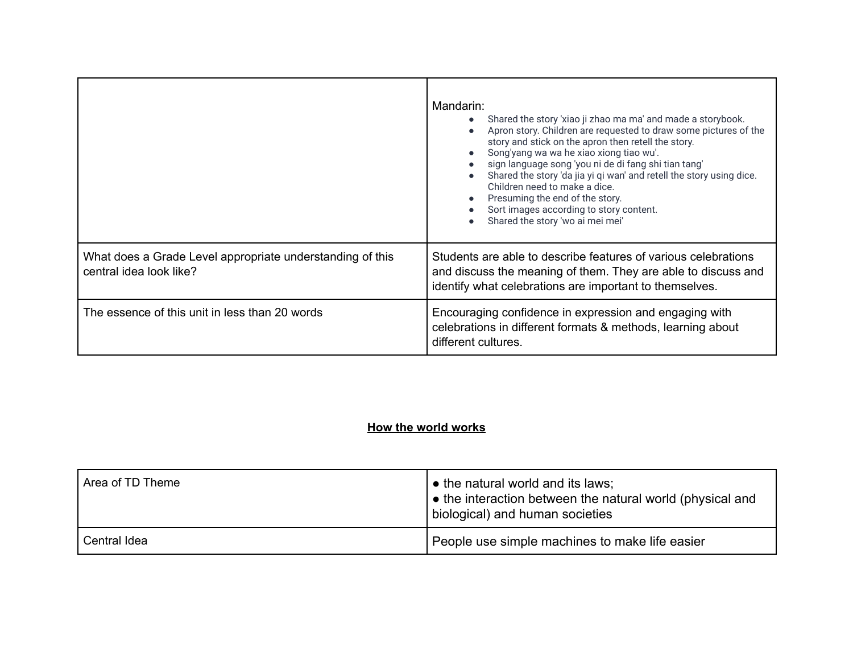|                                                                                      | Mandarin:<br>Shared the story 'xiao ji zhao ma ma' and made a storybook.<br>Apron story. Children are requested to draw some pictures of the<br>story and stick on the apron then retell the story.<br>Song'yang wa wa he xiao xiong tiao wu'.<br>sign language song 'you ni de di fang shi tian tang'<br>Shared the story 'da jia yi qi wan' and retell the story using dice.<br>Children need to make a dice.<br>Presuming the end of the story.<br>Sort images according to story content.<br>Shared the story 'wo ai mei mei' |
|--------------------------------------------------------------------------------------|-----------------------------------------------------------------------------------------------------------------------------------------------------------------------------------------------------------------------------------------------------------------------------------------------------------------------------------------------------------------------------------------------------------------------------------------------------------------------------------------------------------------------------------|
| What does a Grade Level appropriate understanding of this<br>central idea look like? | Students are able to describe features of various celebrations<br>and discuss the meaning of them. They are able to discuss and<br>identify what celebrations are important to themselves.                                                                                                                                                                                                                                                                                                                                        |
| The essence of this unit in less than 20 words                                       | Encouraging confidence in expression and engaging with<br>celebrations in different formats & methods, learning about<br>different cultures.                                                                                                                                                                                                                                                                                                                                                                                      |

# **How the world works**

| Area of TD Theme | • the natural world and its laws;<br>the interaction between the natural world (physical and<br>biological) and human societies |
|------------------|---------------------------------------------------------------------------------------------------------------------------------|
| Central Idea     | People use simple machines to make life easier                                                                                  |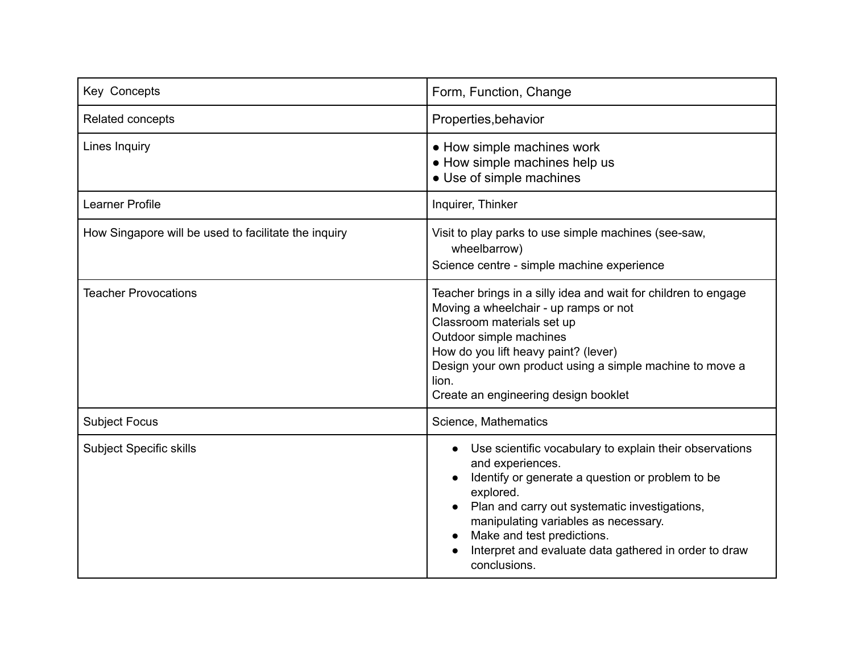| Key Concepts                                         | Form, Function, Change                                                                                                                                                                                                                                                                                                                       |
|------------------------------------------------------|----------------------------------------------------------------------------------------------------------------------------------------------------------------------------------------------------------------------------------------------------------------------------------------------------------------------------------------------|
| Related concepts                                     | Properties, behavior                                                                                                                                                                                                                                                                                                                         |
| Lines Inquiry                                        | • How simple machines work<br>• How simple machines help us<br>• Use of simple machines                                                                                                                                                                                                                                                      |
| Learner Profile                                      | Inquirer, Thinker                                                                                                                                                                                                                                                                                                                            |
| How Singapore will be used to facilitate the inquiry | Visit to play parks to use simple machines (see-saw,<br>wheelbarrow)<br>Science centre - simple machine experience                                                                                                                                                                                                                           |
| <b>Teacher Provocations</b>                          | Teacher brings in a silly idea and wait for children to engage<br>Moving a wheelchair - up ramps or not<br>Classroom materials set up<br>Outdoor simple machines<br>How do you lift heavy paint? (lever)<br>Design your own product using a simple machine to move a<br>lion.<br>Create an engineering design booklet                        |
| <b>Subject Focus</b>                                 | Science, Mathematics                                                                                                                                                                                                                                                                                                                         |
| <b>Subject Specific skills</b>                       | Use scientific vocabulary to explain their observations<br>and experiences.<br>Identify or generate a question or problem to be<br>explored.<br>Plan and carry out systematic investigations,<br>manipulating variables as necessary.<br>Make and test predictions.<br>Interpret and evaluate data gathered in order to draw<br>conclusions. |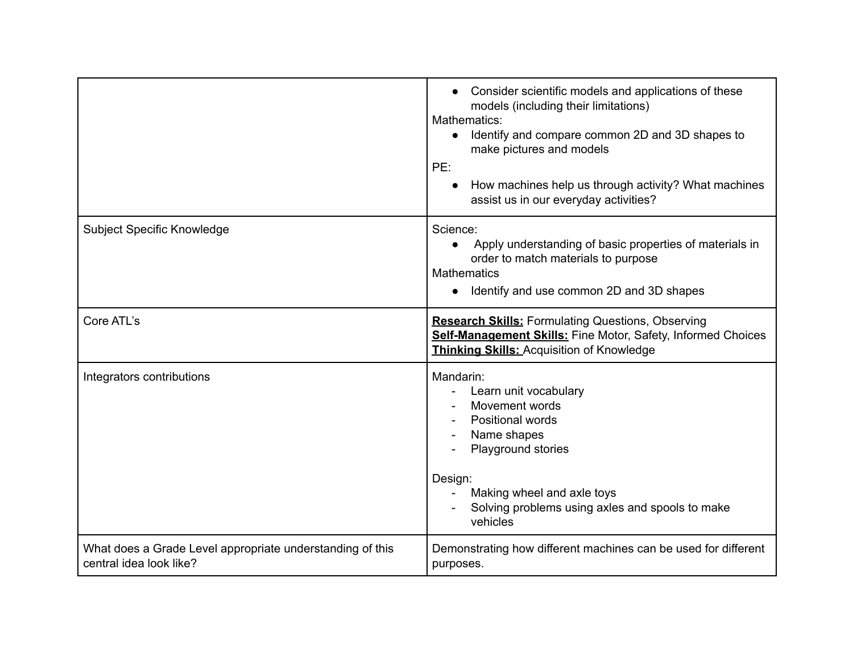|                                                                                      | Consider scientific models and applications of these<br>models (including their limitations)<br>Mathematics:<br>Identify and compare common 2D and 3D shapes to<br>make pictures and models<br>PE:<br>How machines help us through activity? What machines<br>assist us in our everyday activities? |
|--------------------------------------------------------------------------------------|-----------------------------------------------------------------------------------------------------------------------------------------------------------------------------------------------------------------------------------------------------------------------------------------------------|
| <b>Subject Specific Knowledge</b>                                                    | Science:<br>Apply understanding of basic properties of materials in<br>order to match materials to purpose<br><b>Mathematics</b><br>Identify and use common 2D and 3D shapes                                                                                                                        |
| Core ATL's                                                                           | <b>Research Skills:</b> Formulating Questions, Observing<br>Self-Management Skills: Fine Motor, Safety, Informed Choices<br><b>Thinking Skills: Acquisition of Knowledge</b>                                                                                                                        |
| Integrators contributions                                                            | Mandarin:<br>Learn unit vocabulary<br>Movement words<br>Positional words<br>Name shapes<br>Playground stories<br>Design:<br>Making wheel and axle toys<br>Solving problems using axles and spools to make<br>vehicles                                                                               |
| What does a Grade Level appropriate understanding of this<br>central idea look like? | Demonstrating how different machines can be used for different<br>purposes.                                                                                                                                                                                                                         |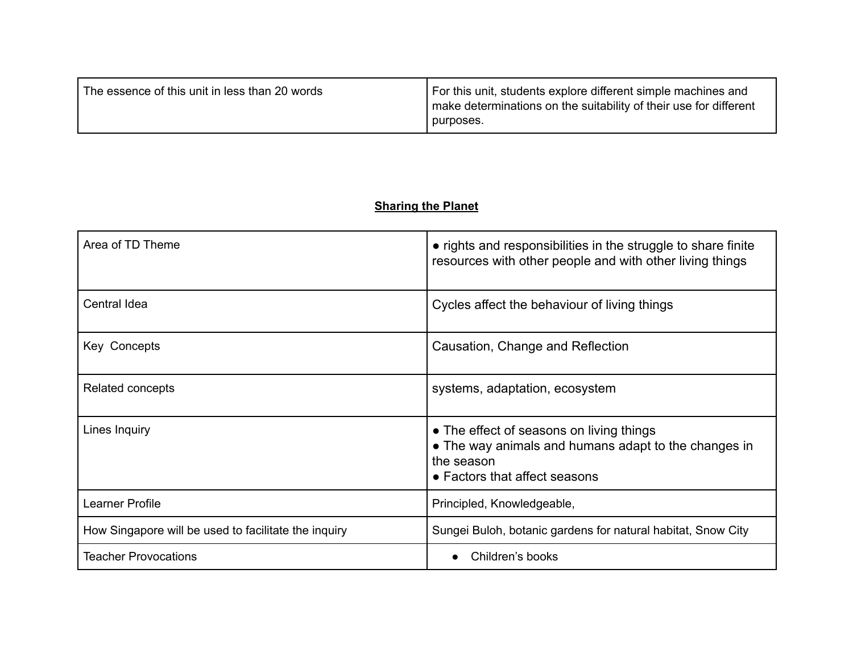| The essence of this unit in less than 20 words | For this unit, students explore different simple machines and<br>make determinations on the suitability of their use for different<br>purposes. |
|------------------------------------------------|-------------------------------------------------------------------------------------------------------------------------------------------------|
|------------------------------------------------|-------------------------------------------------------------------------------------------------------------------------------------------------|

# **Sharing the Planet**

| Area of TD Theme                                     | • rights and responsibilities in the struggle to share finite<br>resources with other people and with other living things                       |
|------------------------------------------------------|-------------------------------------------------------------------------------------------------------------------------------------------------|
| Central Idea                                         | Cycles affect the behaviour of living things                                                                                                    |
| Key Concepts                                         | Causation, Change and Reflection                                                                                                                |
| Related concepts                                     | systems, adaptation, ecosystem                                                                                                                  |
| Lines Inquiry                                        | • The effect of seasons on living things<br>• The way animals and humans adapt to the changes in<br>the season<br>• Factors that affect seasons |
| Learner Profile                                      | Principled, Knowledgeable,                                                                                                                      |
| How Singapore will be used to facilitate the inquiry | Sungei Buloh, botanic gardens for natural habitat, Snow City                                                                                    |
| <b>Teacher Provocations</b>                          | Children's books                                                                                                                                |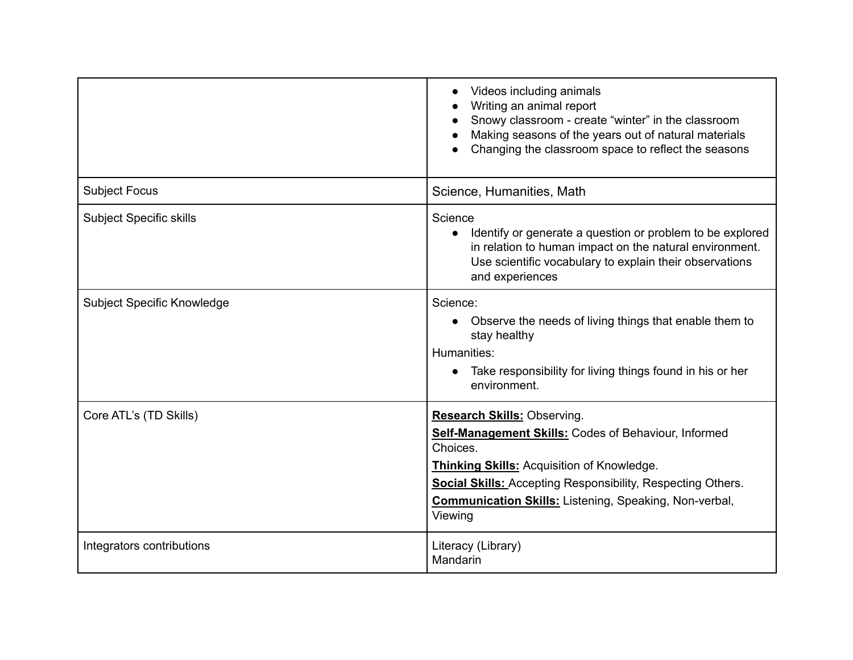|                                | Videos including animals<br>Writing an animal report<br>Snowy classroom - create "winter" in the classroom<br>Making seasons of the years out of natural materials<br>Changing the classroom space to reflect the seasons                                                                                     |
|--------------------------------|---------------------------------------------------------------------------------------------------------------------------------------------------------------------------------------------------------------------------------------------------------------------------------------------------------------|
| <b>Subject Focus</b>           | Science, Humanities, Math                                                                                                                                                                                                                                                                                     |
| <b>Subject Specific skills</b> | Science<br>Identify or generate a question or problem to be explored<br>$\bullet$<br>in relation to human impact on the natural environment.<br>Use scientific vocabulary to explain their observations<br>and experiences                                                                                    |
| Subject Specific Knowledge     | Science:<br>Observe the needs of living things that enable them to<br>stay healthy<br>Humanities:<br>Take responsibility for living things found in his or her<br>environment.                                                                                                                                |
| Core ATL's (TD Skills)         | <b>Research Skills: Observing.</b><br>Self-Management Skills: Codes of Behaviour, Informed<br>Choices.<br><b>Thinking Skills: Acquisition of Knowledge.</b><br><b>Social Skills: Accepting Responsibility, Respecting Others.</b><br><b>Communication Skills:</b> Listening, Speaking, Non-verbal,<br>Viewing |
| Integrators contributions      | Literacy (Library)<br>Mandarin                                                                                                                                                                                                                                                                                |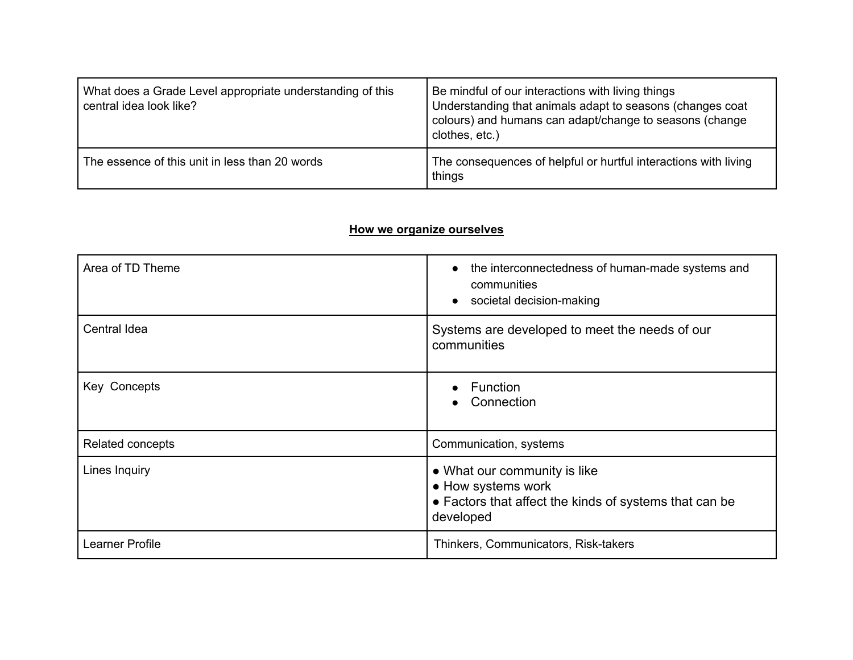| What does a Grade Level appropriate understanding of this<br>central idea look like? | Be mindful of our interactions with living things<br>Understanding that animals adapt to seasons (changes coat<br>colours) and humans can adapt/change to seasons (change<br>clothes, etc.) |
|--------------------------------------------------------------------------------------|---------------------------------------------------------------------------------------------------------------------------------------------------------------------------------------------|
| The essence of this unit in less than 20 words                                       | The consequences of helpful or hurtful interactions with living<br>things                                                                                                                   |

### **How we organize ourselves**

| Area of TD Theme | the interconnectedness of human-made systems and<br>communities<br>societal decision-making<br>$\bullet$                  |
|------------------|---------------------------------------------------------------------------------------------------------------------------|
| Central Idea     | Systems are developed to meet the needs of our<br>communities                                                             |
| Key Concepts     | Function<br>Connection                                                                                                    |
| Related concepts | Communication, systems                                                                                                    |
| Lines Inquiry    | • What our community is like<br>• How systems work<br>• Factors that affect the kinds of systems that can be<br>developed |
| Learner Profile  | Thinkers, Communicators, Risk-takers                                                                                      |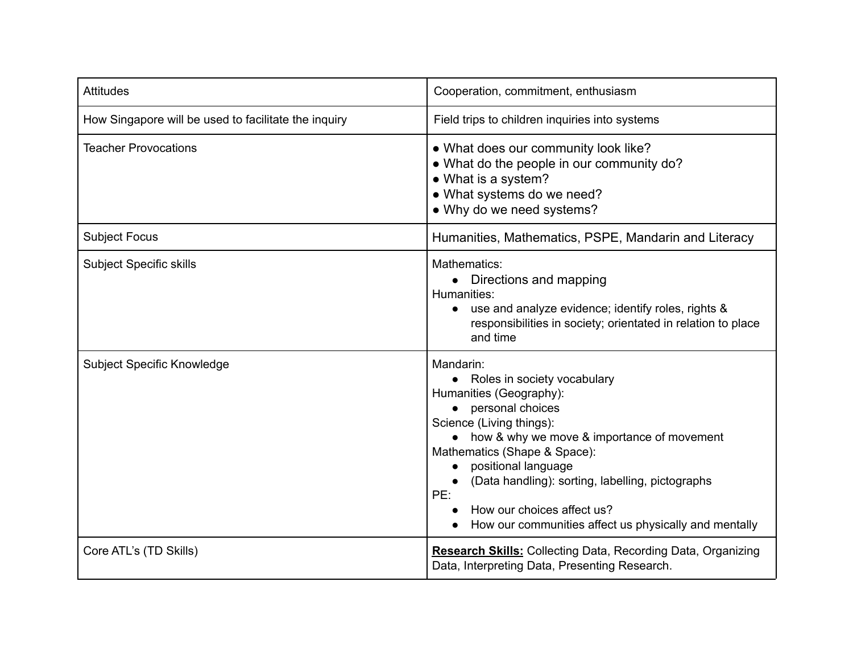| <b>Attitudes</b>                                     | Cooperation, commitment, enthusiasm                                                                                                                                                                                                                                                                                                                                              |
|------------------------------------------------------|----------------------------------------------------------------------------------------------------------------------------------------------------------------------------------------------------------------------------------------------------------------------------------------------------------------------------------------------------------------------------------|
| How Singapore will be used to facilitate the inquiry | Field trips to children inquiries into systems                                                                                                                                                                                                                                                                                                                                   |
| <b>Teacher Provocations</b>                          | • What does our community look like?<br>• What do the people in our community do?<br>• What is a system?<br>• What systems do we need?<br>• Why do we need systems?                                                                                                                                                                                                              |
| <b>Subject Focus</b>                                 | Humanities, Mathematics, PSPE, Mandarin and Literacy                                                                                                                                                                                                                                                                                                                             |
| <b>Subject Specific skills</b>                       | Mathematics:<br>• Directions and mapping<br>Humanities:<br>use and analyze evidence; identify roles, rights &<br>responsibilities in society; orientated in relation to place<br>and time                                                                                                                                                                                        |
| Subject Specific Knowledge                           | Mandarin:<br>• Roles in society vocabulary<br>Humanities (Geography):<br>• personal choices<br>Science (Living things):<br>• how & why we move & importance of movement<br>Mathematics (Shape & Space):<br>positional language<br>(Data handling): sorting, labelling, pictographs<br>PE:<br>How our choices affect us?<br>How our communities affect us physically and mentally |
| Core ATL's (TD Skills)                               | <b>Research Skills:</b> Collecting Data, Recording Data, Organizing<br>Data, Interpreting Data, Presenting Research.                                                                                                                                                                                                                                                             |